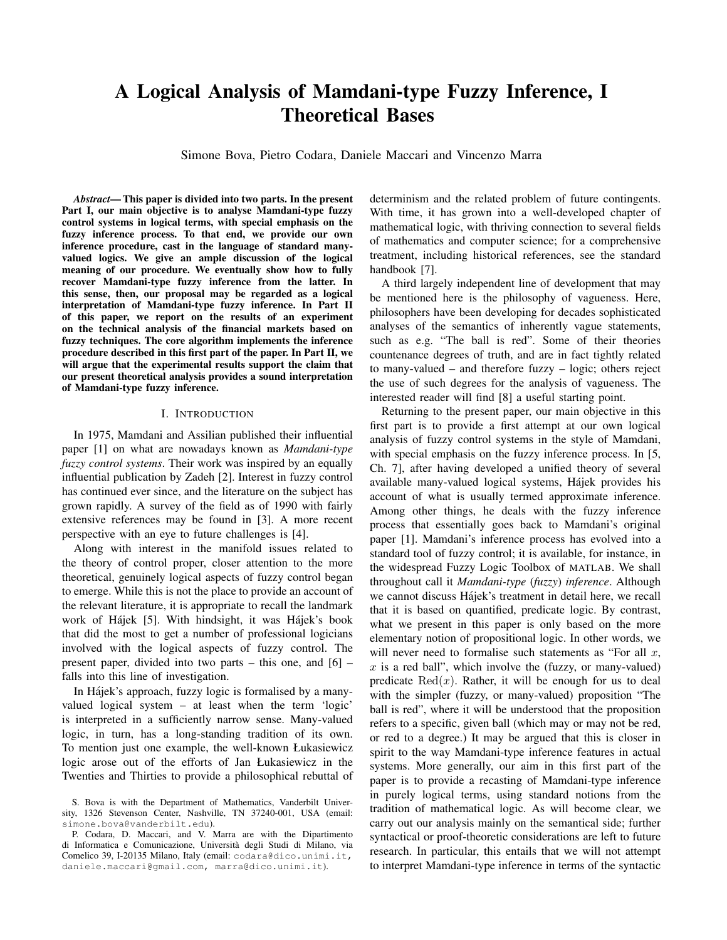# A Logical Analysis of Mamdani-type Fuzzy Inference, I Theoretical Bases

Simone Bova, Pietro Codara, Daniele Maccari and Vincenzo Marra

*Abstract*— This paper is divided into two parts. In the present Part I, our main objective is to analyse Mamdani-type fuzzy control systems in logical terms, with special emphasis on the fuzzy inference process. To that end, we provide our own inference procedure, cast in the language of standard manyvalued logics. We give an ample discussion of the logical meaning of our procedure. We eventually show how to fully recover Mamdani-type fuzzy inference from the latter. In this sense, then, our proposal may be regarded as a logical interpretation of Mamdani-type fuzzy inference. In Part II of this paper, we report on the results of an experiment on the technical analysis of the financial markets based on fuzzy techniques. The core algorithm implements the inference procedure described in this first part of the paper. In Part II, we will argue that the experimental results support the claim that our present theoretical analysis provides a sound interpretation of Mamdani-type fuzzy inference.

#### I. INTRODUCTION

In 1975, Mamdani and Assilian published their influential paper [1] on what are nowadays known as *Mamdani-type fuzzy control systems*. Their work was inspired by an equally influential publication by Zadeh [2]. Interest in fuzzy control has continued ever since, and the literature on the subject has grown rapidly. A survey of the field as of 1990 with fairly extensive references may be found in [3]. A more recent perspective with an eye to future challenges is [4].

Along with interest in the manifold issues related to the theory of control proper, closer attention to the more theoretical, genuinely logical aspects of fuzzy control began to emerge. While this is not the place to provide an account of the relevant literature, it is appropriate to recall the landmark work of Hájek [5]. With hindsight, it was Hájek's book that did the most to get a number of professional logicians involved with the logical aspects of fuzzy control. The present paper, divided into two parts – this one, and [6] – falls into this line of investigation.

In Hájek's approach, fuzzy logic is formalised by a manyvalued logical system – at least when the term 'logic' is interpreted in a sufficiently narrow sense. Many-valued logic, in turn, has a long-standing tradition of its own. To mention just one example, the well-known Łukasiewicz logic arose out of the efforts of Jan Łukasiewicz in the Twenties and Thirties to provide a philosophical rebuttal of

determinism and the related problem of future contingents. With time, it has grown into a well-developed chapter of mathematical logic, with thriving connection to several fields of mathematics and computer science; for a comprehensive treatment, including historical references, see the standard handbook [7].

A third largely independent line of development that may be mentioned here is the philosophy of vagueness. Here, philosophers have been developing for decades sophisticated analyses of the semantics of inherently vague statements, such as e.g. "The ball is red". Some of their theories countenance degrees of truth, and are in fact tightly related to many-valued – and therefore fuzzy – logic; others reject the use of such degrees for the analysis of vagueness. The interested reader will find [8] a useful starting point.

Returning to the present paper, our main objective in this first part is to provide a first attempt at our own logical analysis of fuzzy control systems in the style of Mamdani, with special emphasis on the fuzzy inference process. In [5, Ch. 7], after having developed a unified theory of several available many-valued logical systems, Hajek provides his ´ account of what is usually termed approximate inference. Among other things, he deals with the fuzzy inference process that essentially goes back to Mamdani's original paper [1]. Mamdani's inference process has evolved into a standard tool of fuzzy control; it is available, for instance, in the widespread Fuzzy Logic Toolbox of MATLAB. We shall throughout call it *Mamdani-type* (*fuzzy*) *inference*. Although we cannot discuss Hájek's treatment in detail here, we recall that it is based on quantified, predicate logic. By contrast, what we present in this paper is only based on the more elementary notion of propositional logic. In other words, we will never need to formalise such statements as "For all  $x$ ,  $x$  is a red ball", which involve the (fuzzy, or many-valued) predicate  $\text{Red}(x)$ . Rather, it will be enough for us to deal with the simpler (fuzzy, or many-valued) proposition "The ball is red", where it will be understood that the proposition refers to a specific, given ball (which may or may not be red, or red to a degree.) It may be argued that this is closer in spirit to the way Mamdani-type inference features in actual systems. More generally, our aim in this first part of the paper is to provide a recasting of Mamdani-type inference in purely logical terms, using standard notions from the tradition of mathematical logic. As will become clear, we carry out our analysis mainly on the semantical side; further syntactical or proof-theoretic considerations are left to future research. In particular, this entails that we will not attempt to interpret Mamdani-type inference in terms of the syntactic

S. Bova is with the Department of Mathematics, Vanderbilt University, 1326 Stevenson Center, Nashville, TN 37240-001, USA (email: simone.bova@vanderbilt.edu).

P. Codara, D. Maccari, and V. Marra are with the Dipartimento di Informatica e Comunicazione, Universita degli Studi di Milano, via ` Comelico 39, I-20135 Milano, Italy (email: codara@dico.unimi.it, daniele.maccari@gmail.com, marra@dico.unimi.it).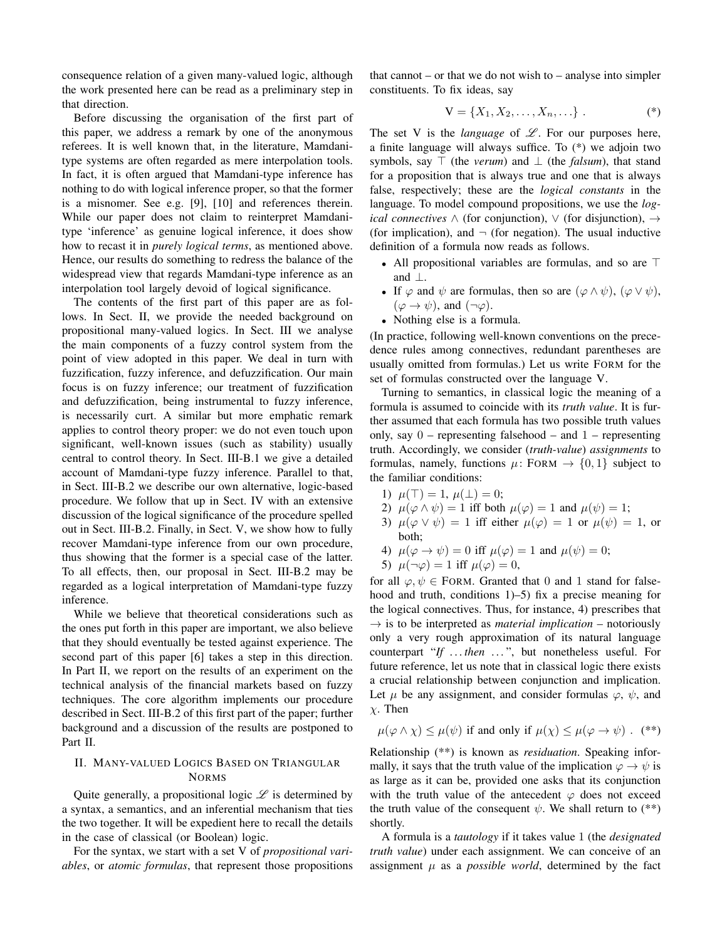consequence relation of a given many-valued logic, although the work presented here can be read as a preliminary step in that direction.

Before discussing the organisation of the first part of this paper, we address a remark by one of the anonymous referees. It is well known that, in the literature, Mamdanitype systems are often regarded as mere interpolation tools. In fact, it is often argued that Mamdani-type inference has nothing to do with logical inference proper, so that the former is a misnomer. See e.g. [9], [10] and references therein. While our paper does not claim to reinterpret Mamdanitype 'inference' as genuine logical inference, it does show how to recast it in *purely logical terms*, as mentioned above. Hence, our results do something to redress the balance of the widespread view that regards Mamdani-type inference as an interpolation tool largely devoid of logical significance.

The contents of the first part of this paper are as follows. In Sect. II, we provide the needed background on propositional many-valued logics. In Sect. III we analyse the main components of a fuzzy control system from the point of view adopted in this paper. We deal in turn with fuzzification, fuzzy inference, and defuzzification. Our main focus is on fuzzy inference; our treatment of fuzzification and defuzzification, being instrumental to fuzzy inference, is necessarily curt. A similar but more emphatic remark applies to control theory proper: we do not even touch upon significant, well-known issues (such as stability) usually central to control theory. In Sect. III-B.1 we give a detailed account of Mamdani-type fuzzy inference. Parallel to that, in Sect. III-B.2 we describe our own alternative, logic-based procedure. We follow that up in Sect. IV with an extensive discussion of the logical significance of the procedure spelled out in Sect. III-B.2. Finally, in Sect. V, we show how to fully recover Mamdani-type inference from our own procedure, thus showing that the former is a special case of the latter. To all effects, then, our proposal in Sect. III-B.2 may be regarded as a logical interpretation of Mamdani-type fuzzy inference.

While we believe that theoretical considerations such as the ones put forth in this paper are important, we also believe that they should eventually be tested against experience. The second part of this paper [6] takes a step in this direction. In Part II, we report on the results of an experiment on the technical analysis of the financial markets based on fuzzy techniques. The core algorithm implements our procedure described in Sect. III-B.2 of this first part of the paper; further background and a discussion of the results are postponed to Part II.

## II. MANY-VALUED LOGICS BASED ON TRIANGULAR **NORMS**

Quite generally, a propositional logic  $\mathscr L$  is determined by a syntax, a semantics, and an inferential mechanism that ties the two together. It will be expedient here to recall the details in the case of classical (or Boolean) logic.

For the syntax, we start with a set V of *propositional variables*, or *atomic formulas*, that represent those propositions that cannot – or that we do not wish to – analyse into simpler constituents. To fix ideas, say

$$
V = \{X_1, X_2, \dots, X_n, \dots\} .
$$
 (\*)

The set V is the *language* of  $\mathcal{L}$ . For our purposes here, a finite language will always suffice. To (\*) we adjoin two symbols, say  $\top$  (the *verum*) and  $\bot$  (the *falsum*), that stand for a proposition that is always true and one that is always false, respectively; these are the *logical constants* in the language. To model compound propositions, we use the *logical connectives*  $\land$  (for conjunction),  $\lor$  (for disjunction),  $\rightarrow$ (for implication), and  $\neg$  (for negation). The usual inductive definition of a formula now reads as follows.

- All propositional variables are formulas, and so are  $\top$ and  $\perp$ .
- If  $\varphi$  and  $\psi$  are formulas, then so are  $(\varphi \land \psi)$ ,  $(\varphi \lor \psi)$ ,  $(\varphi \to \psi)$ , and  $(\neg \varphi)$ .
- Nothing else is a formula.

(In practice, following well-known conventions on the precedence rules among connectives, redundant parentheses are usually omitted from formulas.) Let us write FORM for the set of formulas constructed over the language V.

Turning to semantics, in classical logic the meaning of a formula is assumed to coincide with its *truth value*. It is further assumed that each formula has two possible truth values only, say  $0$  – representing falsehood – and  $1$  – representing truth. Accordingly, we consider (*truth-value*) *assignments* to formulas, namely, functions  $\mu$ : FORM  $\rightarrow$  {0, 1} subject to the familiar conditions:

- 1)  $\mu(\top) = 1, \mu(\bot) = 0;$
- 2)  $\mu(\varphi \wedge \psi) = 1$  iff both  $\mu(\varphi) = 1$  and  $\mu(\psi) = 1$ ;
- 3)  $\mu(\varphi \vee \psi) = 1$  iff either  $\mu(\varphi) = 1$  or  $\mu(\psi) = 1$ , or both;
- 4)  $\mu(\varphi \to \psi) = 0$  iff  $\mu(\varphi) = 1$  and  $\mu(\psi) = 0$ ;

5) 
$$
\mu(\neg \varphi) = 1 \text{ iff } \mu(\varphi) = 0,
$$

for all  $\varphi, \psi \in$  FORM. Granted that 0 and 1 stand for falsehood and truth, conditions 1–5) fix a precise meaning for the logical connectives. Thus, for instance, 4) prescribes that  $\rightarrow$  is to be interpreted as *material implication* – notoriously only a very rough approximation of its natural language counterpart "If ... then ...", but nonetheless useful. For future reference, let us note that in classical logic there exists a crucial relationship between conjunction and implication. Let  $\mu$  be any assignment, and consider formulas  $\varphi$ ,  $\psi$ , and  $\chi$ . Then

$$
\mu(\varphi \wedge \chi) \le \mu(\psi)
$$
 if and only if  $\mu(\chi) \le \mu(\varphi \to \psi)$ . (\*)

Relationship (\*\*) is known as *residuation*. Speaking informally, it says that the truth value of the implication  $\varphi \to \psi$  is as large as it can be, provided one asks that its conjunction with the truth value of the antecedent  $\varphi$  does not exceed the truth value of the consequent  $\psi$ . We shall return to (\*\*) shortly.

A formula is a *tautology* if it takes value 1 (the *designated truth value*) under each assignment. We can conceive of an assignment  $\mu$  as a *possible world*, determined by the fact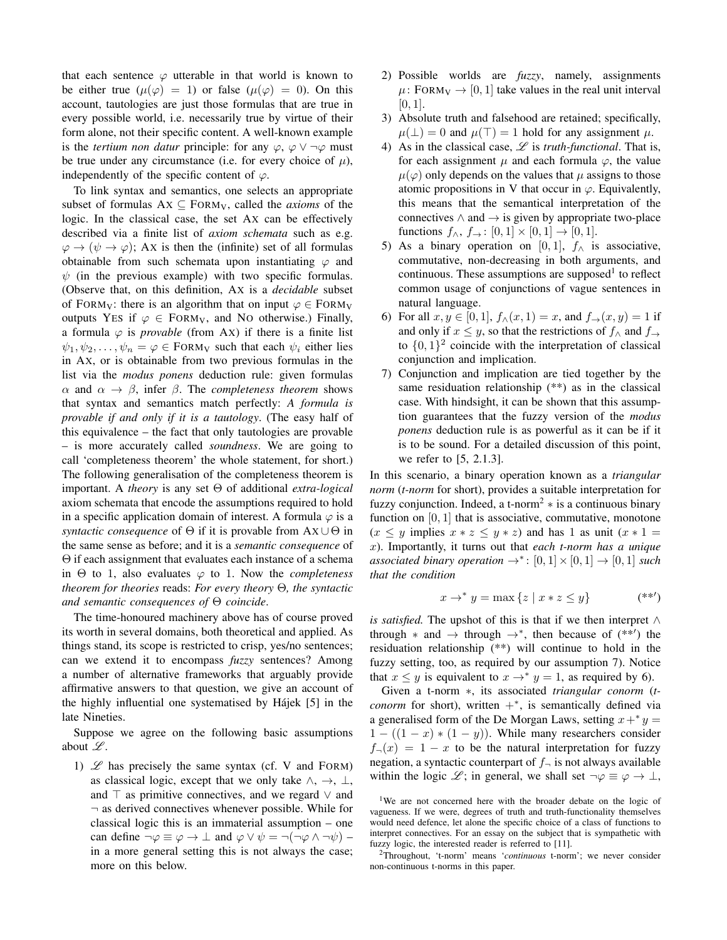that each sentence  $\varphi$  utterable in that world is known to be either true  $(\mu(\varphi) = 1)$  or false  $(\mu(\varphi) = 0)$ . On this account, tautologies are just those formulas that are true in every possible world, i.e. necessarily true by virtue of their form alone, not their specific content. A well-known example is the *tertium non datur* principle: for any  $\varphi$ ,  $\varphi \vee \neg \varphi$  must be true under any circumstance (i.e. for every choice of  $\mu$ ), independently of the specific content of  $\varphi$ .

To link syntax and semantics, one selects an appropriate subset of formulas  $AX \subseteq FORM_V$ , called the *axioms* of the logic. In the classical case, the set AX can be effectively described via a finite list of *axiom schemata* such as e.g.  $\varphi \to (\psi \to \varphi)$ ; Ax is then the (infinite) set of all formulas obtainable from such schemata upon instantiating  $\varphi$  and  $\psi$  (in the previous example) with two specific formulas. (Observe that, on this definition, AX is a *decidable* subset of FORM<sub>V</sub>: there is an algorithm that on input  $\varphi \in$  FORM<sub>V</sub> outputs YES if  $\varphi \in$  FORM<sub>V</sub>, and NO otherwise.) Finally, a formula  $\varphi$  is *provable* (from Ax) if there is a finite list  $\psi_1, \psi_2, \dots, \psi_n = \varphi \in \text{FORM}_V$  such that each  $\psi_i$  either lies in AX, or is obtainable from two previous formulas in the list via the *modus ponens* deduction rule: given formulas  $\alpha$  and  $\alpha \rightarrow \beta$ , infer  $\beta$ . The *completeness theorem* shows that syntax and semantics match perfectly: *A formula is provable if and only if it is a tautology*. (The easy half of this equivalence – the fact that only tautologies are provable – is more accurately called *soundness*. We are going to call 'completeness theorem' the whole statement, for short.) The following generalisation of the completeness theorem is important. A *theory* is any set Θ of additional *extra-logical* axiom schemata that encode the assumptions required to hold in a specific application domain of interest. A formula  $\varphi$  is a *syntactic consequence* of  $\Theta$  if it is provable from  $AX \cup \Theta$  in the same sense as before; and it is a *semantic consequence* of Θ if each assignment that evaluates each instance of a schema in  $\Theta$  to 1, also evaluates  $\varphi$  to 1. Now the *completeness theorem for theories* reads: *For every theory* Θ*, the syntactic and semantic consequences of* Θ *coincide*.

The time-honoured machinery above has of course proved its worth in several domains, both theoretical and applied. As things stand, its scope is restricted to crisp, yes/no sentences; can we extend it to encompass *fuzzy* sentences? Among a number of alternative frameworks that arguably provide affirmative answers to that question, we give an account of the highly influential one systematised by Hájek [5] in the late Nineties.

Suppose we agree on the following basic assumptions about  $\mathscr{L}$ .

1)  $\mathscr L$  has precisely the same syntax (cf. V and FORM) as classical logic, except that we only take  $\land$ ,  $\rightarrow$ ,  $\bot$ , and  $\top$  as primitive connectives, and we regard  $\vee$  and  $\neg$  as derived connectives whenever possible. While for classical logic this is an immaterial assumption – one can define  $\neg \varphi \equiv \varphi \rightarrow \bot$  and  $\varphi \vee \psi = \neg(\neg \varphi \wedge \neg \psi)$  – in a more general setting this is not always the case; more on this below.

- 2) Possible worlds are *fuzzy*, namely, assignments  $\mu$ : FORM<sub>V</sub>  $\rightarrow$  [0, 1] take values in the real unit interval  $[0, 1]$ .
- 3) Absolute truth and falsehood are retained; specifically,  $\mu(\perp) = 0$  and  $\mu(\perp) = 1$  hold for any assignment  $\mu$ .
- 4) As in the classical case,  $\mathscr L$  is *truth-functional*. That is, for each assignment  $\mu$  and each formula  $\varphi$ , the value  $\mu(\varphi)$  only depends on the values that  $\mu$  assigns to those atomic propositions in V that occur in  $\varphi$ . Equivalently, this means that the semantical interpretation of the connectives  $\land$  and  $\rightarrow$  is given by appropriate two-place functions  $f_{\wedge}, f_{\rightarrow} : [0, 1] \times [0, 1] \rightarrow [0, 1].$
- 5) As a binary operation on [0, 1],  $f_\wedge$  is associative, commutative, non-decreasing in both arguments, and continuous. These assumptions are supposed<sup>1</sup> to reflect common usage of conjunctions of vague sentences in natural language.
- 6) For all  $x, y \in [0, 1]$ ,  $f_0(x, 1) = x$ , and  $f_0(x, y) = 1$  if and only if  $x \leq y$ , so that the restrictions of  $f_0$  and  $f_{\rightarrow}$ to  $\{0,1\}^2$  coincide with the interpretation of classical conjunction and implication.
- 7) Conjunction and implication are tied together by the same residuation relationship (\*\*) as in the classical case. With hindsight, it can be shown that this assumption guarantees that the fuzzy version of the *modus ponens* deduction rule is as powerful as it can be if it is to be sound. For a detailed discussion of this point, we refer to [5, 2.1.3].

In this scenario, a binary operation known as a *triangular norm* (*t-norm* for short), provides a suitable interpretation for fuzzy conjunction. Indeed, a t-norm<sup>2</sup>  $*$  is a continuous binary function on  $[0, 1]$  that is associative, commutative, monotone  $(x \leq y$  implies  $x * z \leq y * z$ ) and has 1 as unit  $(x * 1 =$ x). Importantly, it turns out that *each t-norm has a unique associated binary operation*  $\rightarrow^*$ :  $[0,1] \times [0,1] \rightarrow [0,1]$  *such that the condition*

$$
x \to^* y = \max\{z \mid x * z \le y\} \tag{**'}
$$

*is satisfied.* The upshot of this is that if we then interpret ∧ through  $*$  and  $\rightarrow$  through  $\rightarrow$ <sup>\*</sup>, then because of (\*\*') the residuation relationship (\*\*) will continue to hold in the fuzzy setting, too, as required by our assumption 7). Notice that  $x \leq y$  is equivalent to  $x \to^* y = 1$ , as required by 6).

Given a t-norm ∗, its associated *triangular conorm* (*t* $conorm$  for short), written  $+^*$ , is semantically defined via a generalised form of the De Morgan Laws, setting  $x+^*y =$  $1 - ((1 - x) * (1 - y))$ . While many researchers consider  $f_{\neg}(x) = 1 - x$  to be the natural interpretation for fuzzy negation, a syntactic counterpart of  $f<sub>-</sub>$  is not always available within the logic  $\mathcal{L}$ ; in general, we shall set  $\neg \varphi \equiv \varphi \rightarrow \bot$ ,

<sup>&</sup>lt;sup>1</sup>We are not concerned here with the broader debate on the logic of vagueness. If we were, degrees of truth and truth-functionality themselves would need defence, let alone the specific choice of a class of functions to interpret connectives. For an essay on the subject that is sympathetic with fuzzy logic, the interested reader is referred to [11].

<sup>2</sup>Throughout, 't-norm' means '*continuous* t-norm'; we never consider non-continuous t-norms in this paper.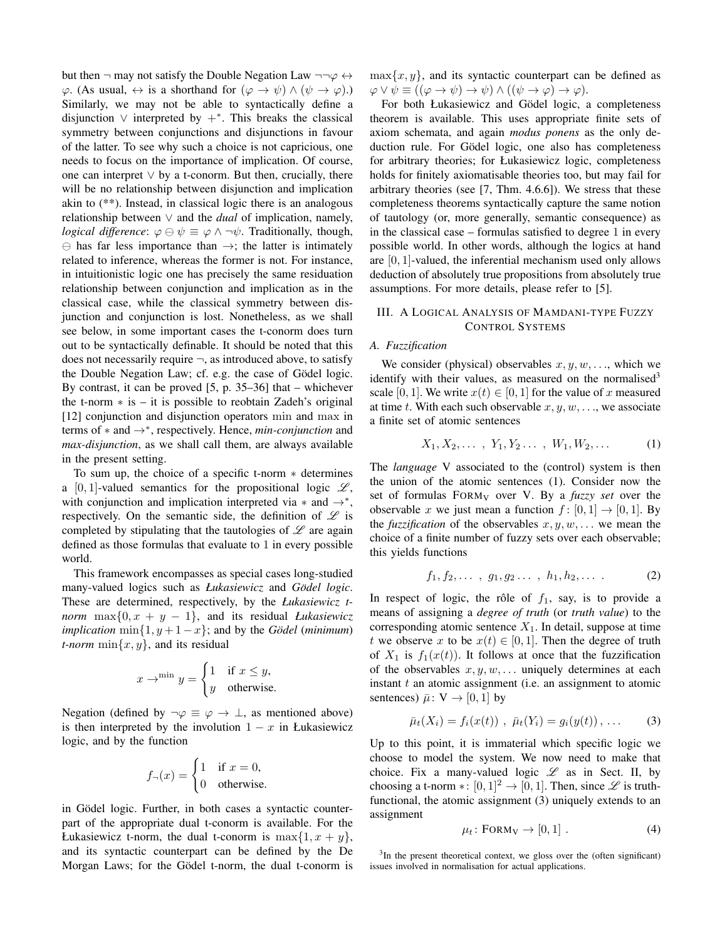but then  $\neg$  may not satisfy the Double Negation Law  $\neg\neg \varphi \leftrightarrow$  $\varphi$ . (As usual,  $\leftrightarrow$  is a shorthand for  $(\varphi \to \psi) \land (\psi \to \varphi)$ .) Similarly, we may not be able to syntactically define a disjunction  $\vee$  interpreted by  $+$ <sup>\*</sup>. This breaks the classical symmetry between conjunctions and disjunctions in favour of the latter. To see why such a choice is not capricious, one needs to focus on the importance of implication. Of course, one can interpret  $\vee$  by a t-conorm. But then, crucially, there will be no relationship between disjunction and implication akin to (\*\*). Instead, in classical logic there is an analogous relationship between ∨ and the *dual* of implication, namely, *logical difference*:  $\varphi \ominus \psi \equiv \varphi \wedge \neg \psi$ . Traditionally, though,  $\ominus$  has far less importance than  $\rightarrow$ ; the latter is intimately related to inference, whereas the former is not. For instance, in intuitionistic logic one has precisely the same residuation relationship between conjunction and implication as in the classical case, while the classical symmetry between disjunction and conjunction is lost. Nonetheless, as we shall see below, in some important cases the t-conorm does turn out to be syntactically definable. It should be noted that this does not necessarily require  $\neg$ , as introduced above, to satisfy the Double Negation Law; cf. e.g. the case of Gödel logic. By contrast, it can be proved [5, p. 35–36] that – whichever the t-norm  $*$  is – it is possible to reobtain Zadeh's original [12] conjunction and disjunction operators min and max in terms of ∗ and →<sup>∗</sup> , respectively. Hence, *min-conjunction* and *max-disjunction*, as we shall call them, are always available in the present setting.

To sum up, the choice of a specific t-norm ∗ determines a [0, 1]-valued semantics for the propositional logic  $\mathscr{L}$ , with conjunction and implication interpreted via  $*$  and  $\rightarrow *$ , respectively. On the semantic side, the definition of  $\mathscr L$  is completed by stipulating that the tautologies of  $\mathscr L$  are again defined as those formulas that evaluate to 1 in every possible world.

This framework encompasses as special cases long-studied many-valued logics such as *Łukasiewicz* and *Gödel logic*. These are determined, respectively, by the *Łukasiewicz tnorm* max $\{0, x + y - 1\}$ , and its residual *Łukasiewicz implication* min $\{1, y + 1 - x\}$ ; and by the *Gödel* (*minimum*) *t-norm*  $\min\{x, y\}$ , and its residual

$$
x \to^{\min} y = \begin{cases} 1 & \text{if } x \le y, \\ y & \text{otherwise.} \end{cases}
$$

Negation (defined by  $\neg \varphi \equiv \varphi \rightarrow \bot$ , as mentioned above) is then interpreted by the involution  $1 - x$  in Łukasiewicz logic, and by the function

$$
f_{\neg}(x) = \begin{cases} 1 & \text{if } x = 0, \\ 0 & \text{otherwise.} \end{cases}
$$

in Gödel logic. Further, in both cases a syntactic counterpart of the appropriate dual t-conorm is available. For the Łukasiewicz t-norm, the dual t-conorm is  $\max\{1, x + y\}$ , and its syntactic counterpart can be defined by the De Morgan Laws; for the Gödel t-norm, the dual t-conorm is  $\max\{x, y\}$ , and its syntactic counterpart can be defined as  $\varphi \vee \psi \equiv ((\varphi \rightarrow \psi) \rightarrow \psi) \wedge ((\psi \rightarrow \varphi) \rightarrow \varphi).$ 

For both Łukasiewicz and Gödel logic, a completeness theorem is available. This uses appropriate finite sets of axiom schemata, and again *modus ponens* as the only deduction rule. For Gödel logic, one also has completeness for arbitrary theories; for Łukasiewicz logic, completeness holds for finitely axiomatisable theories too, but may fail for arbitrary theories (see [7, Thm. 4.6.6]). We stress that these completeness theorems syntactically capture the same notion of tautology (or, more generally, semantic consequence) as in the classical case – formulas satisfied to degree 1 in every possible world. In other words, although the logics at hand are [0, 1]-valued, the inferential mechanism used only allows deduction of absolutely true propositions from absolutely true assumptions. For more details, please refer to [5].

## III. A LOGICAL ANALYSIS OF MAMDANI-TYPE FUZZY CONTROL SYSTEMS

#### *A. Fuzzification*

We consider (physical) observables  $x, y, w, \ldots$ , which we identify with their values, as measured on the normalised<sup>3</sup> scale [0, 1]. We write  $x(t) \in [0, 1]$  for the value of x measured at time t. With each such observable  $x, y, w, \ldots$ , we associate a finite set of atomic sentences

$$
X_1, X_2, \ldots, Y_1, Y_2, \ldots, W_1, W_2, \ldots
$$
 (1)

The *language* V associated to the (control) system is then the union of the atomic sentences (1). Consider now the set of formulas FORM<sup>V</sup> over V. By a *fuzzy set* over the observable x we just mean a function  $f : [0, 1] \rightarrow [0, 1]$ . By the *fuzzification* of the observables  $x, y, w, \ldots$  we mean the choice of a finite number of fuzzy sets over each observable; this yields functions

$$
f_1, f_2, \ldots, g_1, g_2, \ldots, h_1, h_2, \ldots
$$
 (2)

In respect of logic, the rôle of  $f_1$ , say, is to provide a means of assigning a *degree of truth* (or *truth value*) to the corresponding atomic sentence  $X_1$ . In detail, suppose at time t we observe x to be  $x(t) \in [0, 1]$ . Then the degree of truth of  $X_1$  is  $f_1(x(t))$ . It follows at once that the fuzzification of the observables  $x, y, w, \ldots$  uniquely determines at each instant  $t$  an atomic assignment (i.e. an assignment to atomic sentences)  $\bar{\mu}$ : V  $\rightarrow$  [0, 1] by

$$
\bar{\mu}_t(X_i) = f_i(x(t)), \ \bar{\mu}_t(Y_i) = g_i(y(t)), \dots \tag{3}
$$

Up to this point, it is immaterial which specific logic we choose to model the system. We now need to make that choice. Fix a many-valued logic  $\mathscr L$  as in Sect. II, by choosing a t-norm  $\ast$ : [0, 1]<sup>2</sup> → [0, 1]. Then, since  $\mathscr L$  is truthfunctional, the atomic assignment (3) uniquely extends to an assignment

$$
\mu_t \colon \text{FORM}_V \to [0, 1] \tag{4}
$$

<sup>3</sup>In the present theoretical context, we gloss over the (often significant) issues involved in normalisation for actual applications.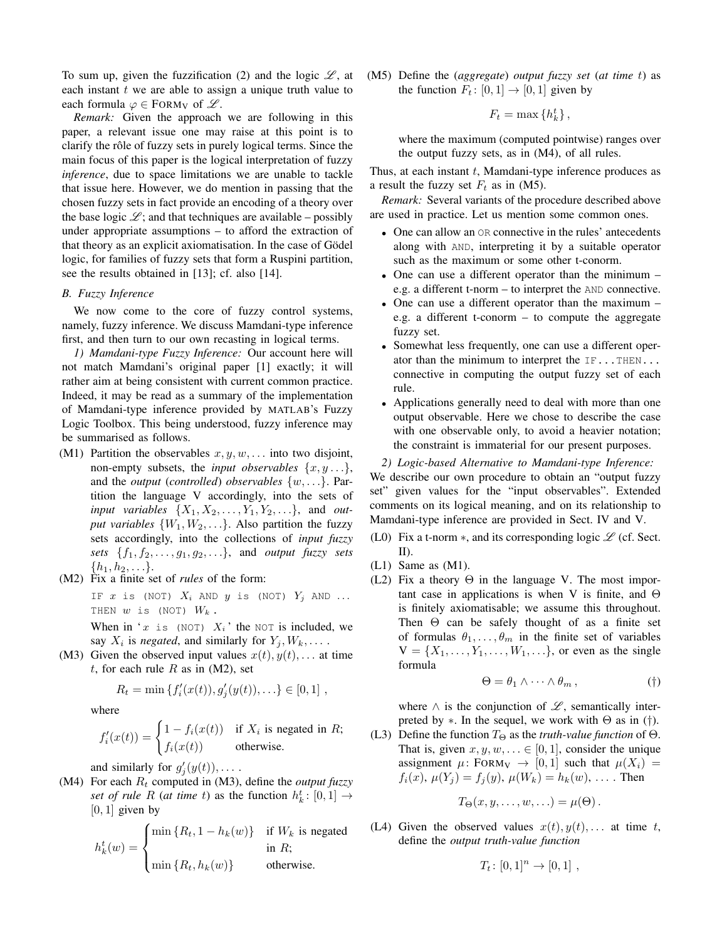To sum up, given the fuzzification (2) and the logic  $\mathscr{L}$ , at each instant  $t$  we are able to assign a unique truth value to each formula  $\varphi \in$  FORM<sub>V</sub> of  $\mathscr{L}$ .

*Remark:* Given the approach we are following in this paper, a relevant issue one may raise at this point is to clarify the rôle of fuzzy sets in purely logical terms. Since the main focus of this paper is the logical interpretation of fuzzy *inference*, due to space limitations we are unable to tackle that issue here. However, we do mention in passing that the chosen fuzzy sets in fact provide an encoding of a theory over the base logic  $\mathcal{L}$ ; and that techniques are available – possibly under appropriate assumptions – to afford the extraction of that theory as an explicit axiomatisation. In the case of Gödel logic, for families of fuzzy sets that form a Ruspini partition, see the results obtained in [13]; cf. also [14].

## *B. Fuzzy Inference*

We now come to the core of fuzzy control systems, namely, fuzzy inference. We discuss Mamdani-type inference first, and then turn to our own recasting in logical terms.

*1) Mamdani-type Fuzzy Inference:* Our account here will not match Mamdani's original paper [1] exactly; it will rather aim at being consistent with current common practice. Indeed, it may be read as a summary of the implementation of Mamdani-type inference provided by MATLAB's Fuzzy Logic Toolbox. This being understood, fuzzy inference may be summarised as follows.

- (M1) Partition the observables  $x, y, w, \ldots$  into two disjoint, non-empty subsets, the *input observables*  $\{x, y, \ldots\}$ , and the *output* (*controlled*) *observables* {w, . . .}. Partition the language V accordingly, into the sets of *input variables*  $\{X_1, X_2, \ldots, Y_1, Y_2, \ldots\}$ , and *output variables*  $\{W_1, W_2, \ldots\}$ . Also partition the fuzzy sets accordingly, into the collections of *input fuzzy sets*  $\{f_1, f_2, \ldots, g_1, g_2, \ldots\}$ , and *output fuzzy sets*  $\{h_1, h_2, \ldots\}.$
- (M2) Fix a finite set of *rules* of the form: IF  $x$  is (NOT)  $X_i$  AND  $y$  is (NOT)  $Y_j$  AND ...

THEN  $w$  is (NOT)  $W_k$ .

When in 'x is (NOT)  $X_i$ ' the NOT is included, we say  $X_i$  is *negated*, and similarly for  $Y_j, W_k, \ldots$ .

(M3) Given the observed input values  $x(t)$ ,  $y(t)$ , ... at time t, for each rule R as in  $(M2)$ , set

$$
R_t = \min \{f'_i(x(t)), g'_j(y(t)), \ldots\} \in [0,1],
$$

where

$$
f'_i(x(t)) = \begin{cases} 1 - f_i(x(t)) & \text{if } X_i \text{ is negated in } R; \\ f_i(x(t)) & \text{otherwise.} \end{cases}
$$

and similarly for  $g'_j(y(t)), \ldots$ .

(M4) For each  $R_t$  computed in (M3), define the *output fuzzy set of rule* R (*at time t*) as the function  $h_k^t$ : [0, 1]  $\rightarrow$  $[0, 1]$  given by

$$
h_k^t(w) = \begin{cases} \min\left\{R_t, 1 - h_k(w)\right\} & \text{if } W_k \text{ is negated} \\ & \text{in } R; \\ \min\left\{R_t, h_k(w)\right\} & \text{otherwise.} \end{cases}
$$

(M5) Define the (*aggregate*) *output fuzzy set* (*at time* t) as the function  $F_t: [0, 1] \rightarrow [0, 1]$  given by

$$
F_t = \max\left\{h_k^t\right\},\,
$$

where the maximum (computed pointwise) ranges over the output fuzzy sets, as in (M4), of all rules.

Thus, at each instant  $t$ , Mamdani-type inference produces as a result the fuzzy set  $F_t$  as in (M5).

*Remark:* Several variants of the procedure described above are used in practice. Let us mention some common ones.

- One can allow an  $OR$  connective in the rules' antecedents along with AND, interpreting it by a suitable operator such as the maximum or some other t-conorm.
- One can use a different operator than the minimum e.g. a different t-norm – to interpret the AND connective.
- One can use a different operator than the maximum e.g. a different t-conorm – to compute the aggregate fuzzy set.
- Somewhat less frequently, one can use a different operator than the minimum to interpret the IF...THEN... connective in computing the output fuzzy set of each rule.
- Applications generally need to deal with more than one output observable. Here we chose to describe the case with one observable only, to avoid a heavier notation; the constraint is immaterial for our present purposes.
- *2) Logic-based Alternative to Mamdani-type Inference:*

We describe our own procedure to obtain an "output fuzzy set" given values for the "input observables". Extended comments on its logical meaning, and on its relationship to Mamdani-type inference are provided in Sect. IV and V.

- (L0) Fix a t-norm  $\ast$ , and its corresponding logic  $\mathscr L$  (cf. Sect. II).
- (L1) Same as (M1).
- (L2) Fix a theory  $\Theta$  in the language V. The most important case in applications is when V is finite, and Θ is finitely axiomatisable; we assume this throughout. Then  $\Theta$  can be safely thought of as a finite set of formulas  $\theta_1, \ldots, \theta_m$  in the finite set of variables  $V = \{X_1, \ldots, Y_1, \ldots, W_1, \ldots\}$ , or even as the single formula

$$
\Theta = \theta_1 \wedge \cdots \wedge \theta_m \,, \tag{\dagger}
$$

where  $\land$  is the conjunction of  $\mathscr{L}$ , semantically interpreted by  $*$ . In the sequel, we work with  $\Theta$  as in (†).

(L3) Define the function  $T_{\Theta}$  as the *truth-value function* of  $\Theta$ . That is, given  $x, y, w, \ldots \in [0, 1]$ , consider the unique assignment  $\mu$ : FORM<sub>V</sub>  $\rightarrow$  [0, 1] such that  $\mu(X_i)$  =  $f_i(x)$ ,  $\mu(Y_j) = f_j(y)$ ,  $\mu(W_k) = h_k(w)$ , .... Then

$$
T_{\Theta}(x, y, \ldots, w, \ldots) = \mu(\Theta).
$$

(L4) Given the observed values  $x(t), y(t), \ldots$  at time t, define the *output truth-value function*

$$
T_t \colon [0,1]^n \to [0,1] \ ,
$$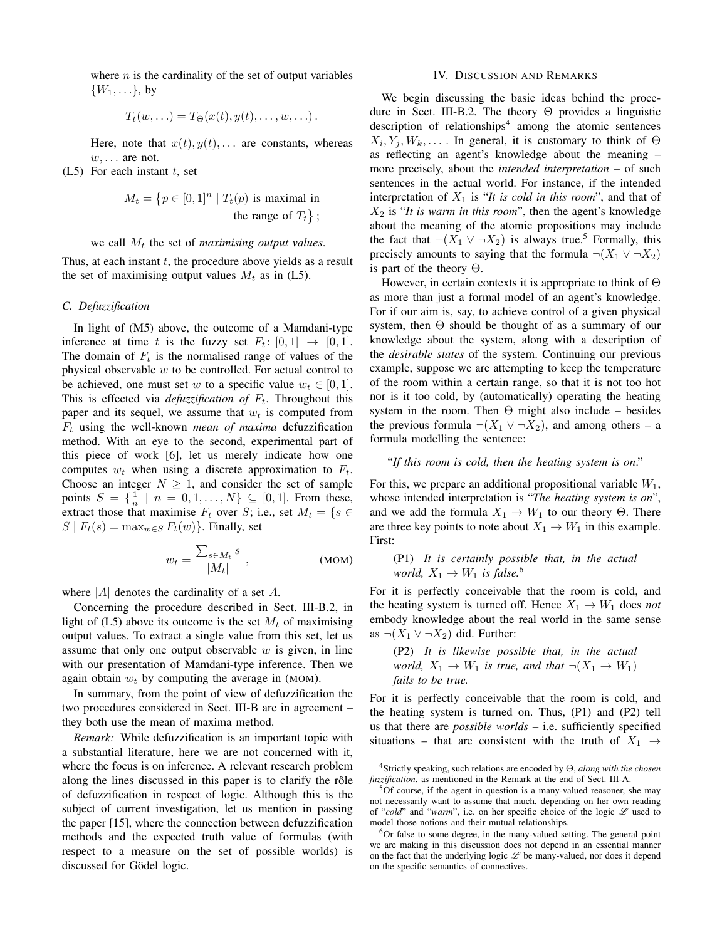where  $n$  is the cardinality of the set of output variables  $\{W_1,\ldots\}$ , by

$$
T_t(w,\ldots)=T_{\Theta}(x(t),y(t),\ldots,w,\ldots).
$$

Here, note that  $x(t), y(t), \ldots$  are constants, whereas  $w, \ldots$  are not.

(L5) For each instant  $t$ , set

$$
M_t = \left\{ p \in [0,1]^n \mid T_t(p) \text{ is maximal in} \right\}
$$
  
the range of  $T_t$ 

#### we call  $M_t$  the set of *maximising output values*.

Thus, at each instant  $t$ , the procedure above yields as a result the set of maximising output values  $M_t$  as in (L5).

## *C. Defuzzification*

In light of (M5) above, the outcome of a Mamdani-type inference at time t is the fuzzy set  $F_t$ :  $[0, 1] \rightarrow [0, 1]$ . The domain of  $F_t$  is the normalised range of values of the physical observable  $w$  to be controlled. For actual control to be achieved, one must set w to a specific value  $w_t \in [0, 1]$ . This is effected via *defuzzification of*  $F_t$ . Throughout this paper and its sequel, we assume that  $w_t$  is computed from  $F_t$  using the well-known *mean of maxima* defuzzification method. With an eye to the second, experimental part of this piece of work [6], let us merely indicate how one computes  $w_t$  when using a discrete approximation to  $F_t$ . Choose an integer  $N \geq 1$ , and consider the set of sample points  $S = \{\frac{1}{n} \mid n = 0, 1, ..., N\} \subseteq [0, 1]$ . From these, extract those that maximise  $F_t$  over S; i.e., set  $M_t = \{s \in$  $S | F_t(s) = \max_{w \in S} F_t(w)$ . Finally, set

$$
w_t = \frac{\sum_{s \in M_t} s}{|M_t|} \,, \tag{MOM}
$$

where  $|A|$  denotes the cardinality of a set A.

Concerning the procedure described in Sect. III-B.2, in light of (L5) above its outcome is the set  $M_t$  of maximising output values. To extract a single value from this set, let us assume that only one output observable  $w$  is given, in line with our presentation of Mamdani-type inference. Then we again obtain  $w_t$  by computing the average in (MOM).

In summary, from the point of view of defuzzification the two procedures considered in Sect. III-B are in agreement – they both use the mean of maxima method.

*Remark:* While defuzzification is an important topic with a substantial literature, here we are not concerned with it, where the focus is on inference. A relevant research problem along the lines discussed in this paper is to clarify the rôle of defuzzification in respect of logic. Although this is the subject of current investigation, let us mention in passing the paper [15], where the connection between defuzzification methods and the expected truth value of formulas (with respect to a measure on the set of possible worlds) is discussed for Gödel logic.

#### IV. DISCUSSION AND REMARKS

We begin discussing the basic ideas behind the procedure in Sect. III-B.2. The theory  $\Theta$  provides a linguistic description of relationships<sup>4</sup> among the atomic sentences  $X_i, Y_j, W_k, \ldots$ . In general, it is customary to think of  $\Theta$ as reflecting an agent's knowledge about the meaning – more precisely, about the *intended interpretation* – of such sentences in the actual world. For instance, if the intended interpretation of  $X_1$  is "*It is cold in this room*", and that of  $X_2$  is "*It is warm in this room*", then the agent's knowledge about the meaning of the atomic propositions may include the fact that  $\neg(X_1 \lor \neg X_2)$  is always true.<sup>5</sup> Formally, this precisely amounts to saying that the formula  $\neg(X_1 \lor \neg X_2)$ is part of the theory Θ.

However, in certain contexts it is appropriate to think of  $\Theta$ as more than just a formal model of an agent's knowledge. For if our aim is, say, to achieve control of a given physical system, then Θ should be thought of as a summary of our knowledge about the system, along with a description of the *desirable states* of the system. Continuing our previous example, suppose we are attempting to keep the temperature of the room within a certain range, so that it is not too hot nor is it too cold, by (automatically) operating the heating system in the room. Then  $\Theta$  might also include – besides the previous formula  $\neg(X_1 \lor \neg X_2)$ , and among others – a formula modelling the sentence:

"*If this room is cold, then the heating system is on*."

For this, we prepare an additional propositional variable  $W_1$ , whose intended interpretation is "*The heating system is on*", and we add the formula  $X_1 \to W_1$  to our theory  $\Theta$ . There are three key points to note about  $X_1 \to W_1$  in this example. First:

## (P1) *It is certainly possible that, in the actual world,*  $X_1 \rightarrow W_1$  *is false.*<sup>6</sup>

For it is perfectly conceivable that the room is cold, and the heating system is turned off. Hence  $X_1 \to W_1$  does *not* embody knowledge about the real world in the same sense as  $\neg(X_1 \lor \neg X_2)$  did. Further:

(P2) *It is likewise possible that, in the actual world,*  $X_1 \rightarrow W_1$  *is true, and that*  $\neg(X_1 \rightarrow W_1)$ *fails to be true.*

For it is perfectly conceivable that the room is cold, and the heating system is turned on. Thus, (P1) and (P2) tell us that there are *possible worlds* – i.e. sufficiently specified situations – that are consistent with the truth of  $X_1 \rightarrow$ 

<sup>4</sup>Strictly speaking, such relations are encoded by Θ, *along with the chosen fuzzification*, as mentioned in the Remark at the end of Sect. III-A.

<sup>5</sup>Of course, if the agent in question is a many-valued reasoner, she may not necessarily want to assume that much, depending on her own reading of "*cold*" and "*warm*", i.e. on her specific choice of the logic  $L$  used to model those notions and their mutual relationships.

<sup>6</sup>Or false to some degree, in the many-valued setting. The general point we are making in this discussion does not depend in an essential manner on the fact that the underlying logic  $L$  be many-valued, nor does it depend on the specific semantics of connectives.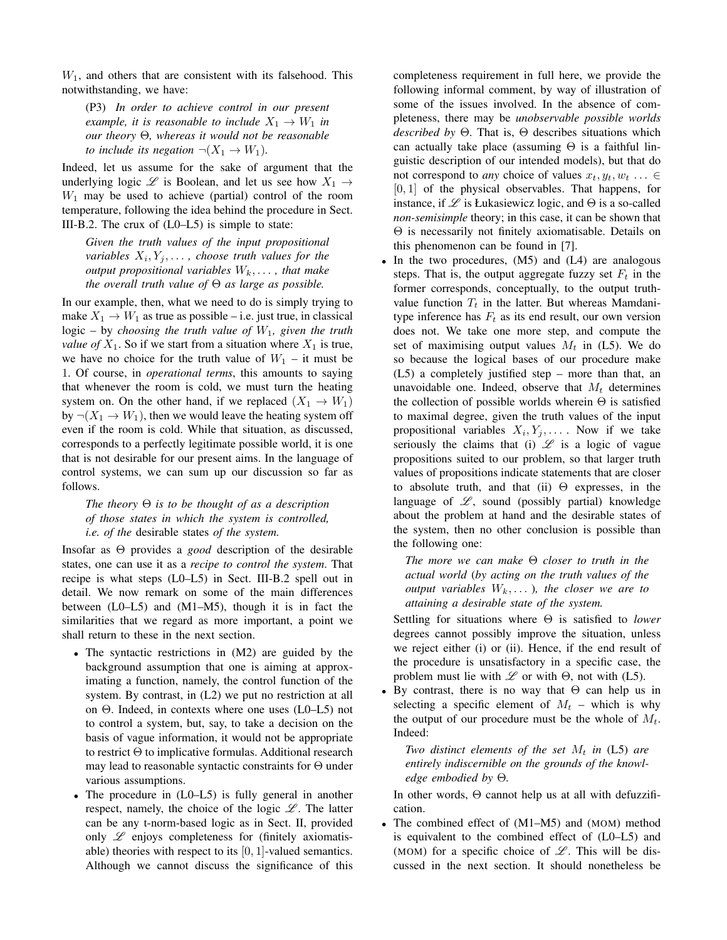$W_1$ , and others that are consistent with its falsehood. This notwithstanding, we have:

(P3) *In order to achieve control in our present example, it is reasonable to include*  $X_1 \rightarrow W_1$  *in our theory* Θ*, whereas it would not be reasonable to include its negation*  $\neg(X_1 \rightarrow W_1)$ *.* 

Indeed, let us assume for the sake of argument that the underlying logic  $\mathscr L$  is Boolean, and let us see how  $X_1 \to$  $W_1$  may be used to achieve (partial) control of the room temperature, following the idea behind the procedure in Sect. III-B.2. The crux of (L0–L5) is simple to state:

*Given the truth values of the input propositional*  $\alpha$ *variables*  $X_i, Y_j, \ldots$ , *choose truth values for the output propositional variables*  $W_k, \ldots$ , that make *the overall truth value of* Θ *as large as possible.*

In our example, then, what we need to do is simply trying to make  $X_1 \to W_1$  as true as possible – i.e. just true, in classical logic – by *choosing the truth value of*  $W_1$ *, given the truth value of*  $X_1$ . So if we start from a situation where  $X_1$  is true, we have no choice for the truth value of  $W_1$  – it must be 1. Of course, in *operational terms*, this amounts to saying that whenever the room is cold, we must turn the heating system on. On the other hand, if we replaced  $(X_1 \rightarrow W_1)$ by  $\neg(X_1 \rightarrow W_1)$ , then we would leave the heating system off even if the room is cold. While that situation, as discussed, corresponds to a perfectly legitimate possible world, it is one that is not desirable for our present aims. In the language of control systems, we can sum up our discussion so far as follows.

*The theory* Θ *is to be thought of as a description of those states in which the system is controlled, i.e. of the* desirable states *of the system.*

Insofar as Θ provides a *good* description of the desirable states, one can use it as a *recipe to control the system*. That recipe is what steps (L0–L5) in Sect. III-B.2 spell out in detail. We now remark on some of the main differences between (L0–L5) and (M1–M5), though it is in fact the similarities that we regard as more important, a point we shall return to these in the next section.

- The syntactic restrictions in (M2) are guided by the background assumption that one is aiming at approximating a function, namely, the control function of the system. By contrast, in (L2) we put no restriction at all on Θ. Indeed, in contexts where one uses (L0–L5) not to control a system, but, say, to take a decision on the basis of vague information, it would not be appropriate to restrict Θ to implicative formulas. Additional research may lead to reasonable syntactic constraints for Θ under various assumptions.
- The procedure in  $(L0-L5)$  is fully general in another respect, namely, the choice of the logic  $\mathscr{L}$ . The latter can be any t-norm-based logic as in Sect. II, provided only  $\mathscr L$  enjoys completeness for (finitely axiomatisable) theories with respect to its [0, 1]-valued semantics. Although we cannot discuss the significance of this

completeness requirement in full here, we provide the following informal comment, by way of illustration of some of the issues involved. In the absence of completeness, there may be *unobservable possible worlds described by* Θ. That is, Θ describes situations which can actually take place (assuming  $\Theta$  is a faithful linguistic description of our intended models), but that do not correspond to *any* choice of values  $x_t, y_t, w_t$ ...  $\in$  $[0, 1]$  of the physical observables. That happens, for instance, if  $\mathscr L$  is Łukasiewicz logic, and  $\Theta$  is a so-called *non-semisimple* theory; in this case, it can be shown that Θ is necessarily not finitely axiomatisable. Details on this phenomenon can be found in [7].

In the two procedures,  $(M5)$  and  $(L4)$  are analogous steps. That is, the output aggregate fuzzy set  $F_t$  in the former corresponds, conceptually, to the output truthvalue function  $T_t$  in the latter. But whereas Mamdanitype inference has  $F_t$  as its end result, our own version does not. We take one more step, and compute the set of maximising output values  $M_t$  in (L5). We do so because the logical bases of our procedure make (L5) a completely justified step – more than that, an unavoidable one. Indeed, observe that  $M_t$  determines the collection of possible worlds wherein  $\Theta$  is satisfied to maximal degree, given the truth values of the input propositional variables  $X_i, Y_j, \ldots$ . Now if we take seriously the claims that (i)  $\mathscr L$  is a logic of vague propositions suited to our problem, so that larger truth values of propositions indicate statements that are closer to absolute truth, and that (ii)  $\Theta$  expresses, in the language of  $\mathscr{L}$ , sound (possibly partial) knowledge about the problem at hand and the desirable states of the system, then no other conclusion is possible than the following one:

*The more we can make* Θ *closer to truth in the actual world* (*by acting on the truth values of the output variables*  $W_k, \ldots$ , the closer we are to *attaining a desirable state of the system.*

Settling for situations where Θ is satisfied to *lower* degrees cannot possibly improve the situation, unless we reject either (i) or (ii). Hence, if the end result of the procedure is unsatisfactory in a specific case, the problem must lie with  $\mathscr L$  or with  $\Theta$ , not with (L5).

• By contrast, there is no way that  $\Theta$  can help us in selecting a specific element of  $M_t$  – which is why the output of our procedure must be the whole of  $M_t$ . Indeed:

*Two distinct elements of the set*  $M_t$  *in* (L5) *are entirely indiscernible on the grounds of the knowledge embodied by* Θ*.*

In other words, Θ cannot help us at all with defuzzification.

• The combined effect of (M1–M5) and (MOM) method is equivalent to the combined effect of (L0–L5) and (MOM) for a specific choice of  $\mathscr{L}$ . This will be discussed in the next section. It should nonetheless be